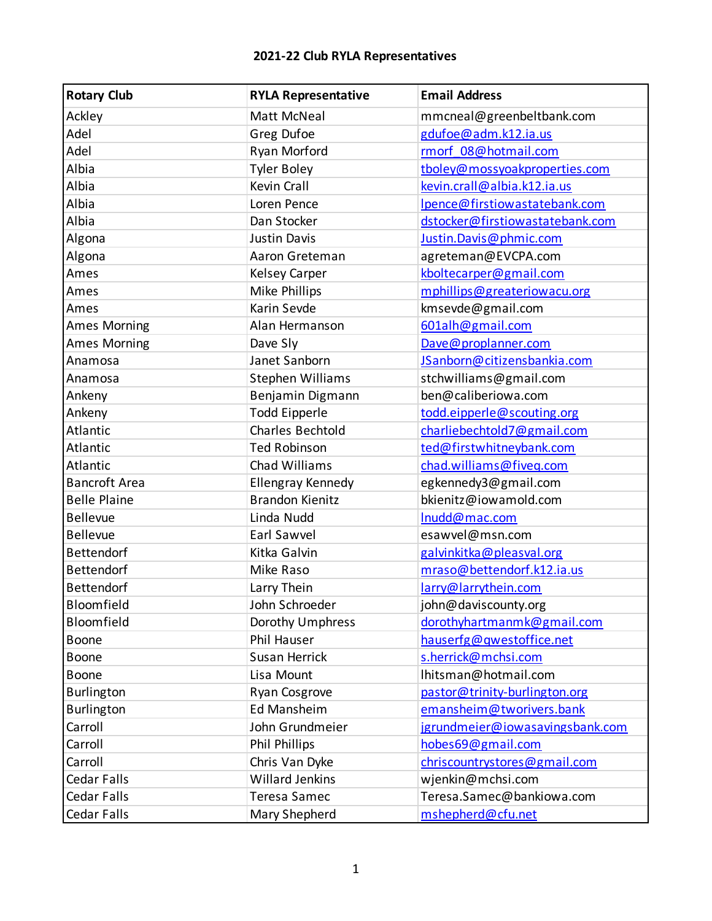| <b>Rotary Club</b>   | <b>RYLA Representative</b> | <b>Email Address</b>            |
|----------------------|----------------------------|---------------------------------|
| Ackley               | Matt McNeal                | mmcneal@greenbeltbank.com       |
| Adel                 | Greg Dufoe                 | gdufoe@adm.k12.ia.us            |
| Adel                 | Ryan Morford               | rmorf 08@hotmail.com            |
| Albia                | <b>Tyler Boley</b>         | tboley@mossyoakproperties.com   |
| Albia                | Kevin Crall                | kevin.crall@albia.k12.ia.us     |
| Albia                | Loren Pence                | Ipence@firstiowastatebank.com   |
| Albia                | Dan Stocker                | dstocker@firstiowastatebank.com |
| Algona               | <b>Justin Davis</b>        | Justin.Davis@phmic.com          |
| Algona               | Aaron Greteman             | agreteman@EVCPA.com             |
| Ames                 | Kelsey Carper              | kboltecarper@gmail.com          |
| Ames                 | Mike Phillips              | mphillips@greateriowacu.org     |
| Ames                 | Karin Sevde                | kmsevde@gmail.com               |
| <b>Ames Morning</b>  | Alan Hermanson             | 601alh@gmail.com                |
| <b>Ames Morning</b>  | Dave Sly                   | Dave@proplanner.com             |
| Anamosa              | Janet Sanborn              | JSanborn@citizensbankia.com     |
| Anamosa              | Stephen Williams           | stchwilliams@gmail.com          |
| Ankeny               | Benjamin Digmann           | ben@caliberiowa.com             |
| Ankeny               | <b>Todd Eipperle</b>       | todd.eipperle@scouting.org      |
| Atlantic             | Charles Bechtold           | charliebechtold7@gmail.com      |
| Atlantic             | <b>Ted Robinson</b>        | ted@firstwhitneybank.com        |
| Atlantic             | Chad Williams              | chad.williams@fiveq.com         |
| <b>Bancroft Area</b> | <b>Ellengray Kennedy</b>   | egkennedy3@gmail.com            |
| <b>Belle Plaine</b>  | <b>Brandon Kienitz</b>     | bkienitz@iowamold.com           |
| <b>Bellevue</b>      | Linda Nudd                 | Inudd@mac.com                   |
| <b>Bellevue</b>      | Earl Sawvel                | esawvel@msn.com                 |
| <b>Bettendorf</b>    | Kitka Galvin               | galvinkitka@pleasval.org        |
| <b>Bettendorf</b>    | Mike Raso                  | mraso@bettendorf.k12.ia.us      |
| Bettendorf           | Larry Thein                | larry@larrythein.com            |
| Bloomfield           | John Schroeder             | john@daviscounty.org            |
| Bloomfield           | Dorothy Umphress           | dorothyhartmanmk@gmail.com      |
| <b>Boone</b>         | Phil Hauser                | hauserfg@qwestoffice.net        |
| Boone                | <b>Susan Herrick</b>       | s.herrick@mchsi.com             |
| Boone                | Lisa Mount                 | Ihitsman@hotmail.com            |
| <b>Burlington</b>    | Ryan Cosgrove              | pastor@trinity-burlington.org   |
| Burlington           | <b>Ed Mansheim</b>         | emansheim@tworivers.bank        |
| Carroll              | John Grundmeier            | jgrundmeier@iowasavingsbank.com |
| Carroll              | <b>Phil Phillips</b>       | hobes69@gmail.com               |
| Carroll              | Chris Van Dyke             | chriscountrystores@gmail.com    |
| <b>Cedar Falls</b>   | <b>Willard Jenkins</b>     | wjenkin@mchsi.com               |
| <b>Cedar Falls</b>   | <b>Teresa Samec</b>        | Teresa.Samec@bankiowa.com       |
| Cedar Falls          | Mary Shepherd              | mshepherd@cfu.net               |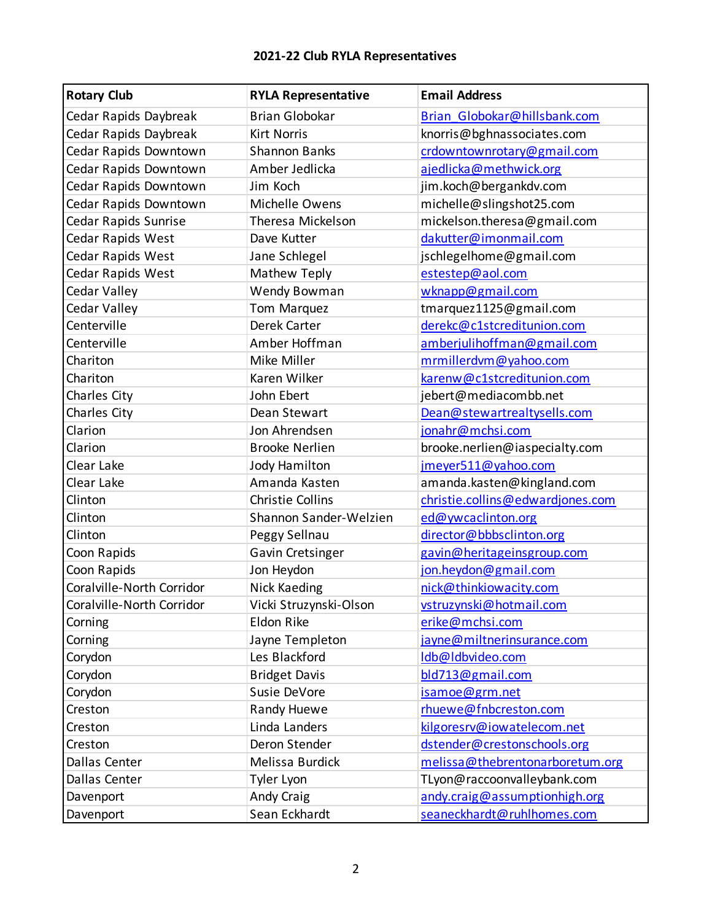| <b>Rotary Club</b>          | <b>RYLA Representative</b> | <b>Email Address</b>             |
|-----------------------------|----------------------------|----------------------------------|
| Cedar Rapids Daybreak       | <b>Brian Globokar</b>      | Brian Globokar@hillsbank.com     |
| Cedar Rapids Daybreak       | <b>Kirt Norris</b>         | knorris@bghnassociates.com       |
| Cedar Rapids Downtown       | <b>Shannon Banks</b>       | crdowntownrotary@gmail.com       |
| Cedar Rapids Downtown       | Amber Jedlicka             | ajedlicka@methwick.org           |
| Cedar Rapids Downtown       | Jim Koch                   | jim.koch@bergankdv.com           |
| Cedar Rapids Downtown       | Michelle Owens             | michelle@slingshot25.com         |
| <b>Cedar Rapids Sunrise</b> | Theresa Mickelson          | mickelson.theresa@gmail.com      |
| Cedar Rapids West           | Dave Kutter                | dakutter@imonmail.com            |
| Cedar Rapids West           | Jane Schlegel              | jschlegelhome@gmail.com          |
| Cedar Rapids West           | Mathew Teply               | estestep@aol.com                 |
| Cedar Valley                | Wendy Bowman               | wknapp@gmail.com                 |
| Cedar Valley                | <b>Tom Marquez</b>         | tmarquez1125@gmail.com           |
| Centerville                 | Derek Carter               | derekc@c1stcreditunion.com       |
| Centerville                 | Amber Hoffman              | amberjulihoffman@gmail.com       |
| Chariton                    | Mike Miller                | mrmillerdvm@yahoo.com            |
| Chariton                    | Karen Wilker               | karenw@c1stcreditunion.com       |
| Charles City                | John Ebert                 | jebert@mediacombb.net            |
| Charles City                | Dean Stewart               | Dean@stewartrealtysells.com      |
| Clarion                     | Jon Ahrendsen              | jonahr@mchsi.com                 |
| Clarion                     | <b>Brooke Nerlien</b>      | brooke.nerlien@iaspecialty.com   |
| Clear Lake                  | <b>Jody Hamilton</b>       | jmeyer511@yahoo.com              |
| Clear Lake                  | Amanda Kasten              | amanda.kasten@kingland.com       |
| Clinton                     | <b>Christie Collins</b>    | christie.collins@edwardjones.com |
| Clinton                     | Shannon Sander-Welzien     | ed@ywcaclinton.org               |
| Clinton                     | Peggy Sellnau              | director@bbbsclinton.org         |
| Coon Rapids                 | Gavin Cretsinger           | gavin@heritageinsgroup.com       |
| Coon Rapids                 | Jon Heydon                 | jon.heydon@gmail.com             |
| Coralville-North Corridor   | <b>Nick Kaeding</b>        | nick@thinkiowacity.com           |
| Coralville-North Corridor   | Vicki Struzynski-Olson     | vstruzynski@hotmail.com          |
| Corning                     | Eldon Rike                 | erike@mchsi.com                  |
| Corning                     | Jayne Templeton            | jayne@miltnerinsurance.com       |
| Corydon                     | Les Blackford              | Idb@Idbvideo.com                 |
| Corydon                     | <b>Bridget Davis</b>       | bld713@gmail.com                 |
| Corydon                     | Susie DeVore               | isamoe@grm.net                   |
| Creston                     | Randy Huewe                | rhuewe@fnbcreston.com            |
| Creston                     | Linda Landers              | kilgoresrv@iowatelecom.net       |
| Creston                     | Deron Stender              | dstender@crestonschools.org      |
| Dallas Center               | Melissa Burdick            | melissa@thebrentonarboretum.org  |
| Dallas Center               | Tyler Lyon                 | TLyon@raccoonvalleybank.com      |
| Davenport                   | Andy Craig                 | andy.craig@assumptionhigh.org    |
| Davenport                   | Sean Eckhardt              | seaneckhardt@ruhlhomes.com       |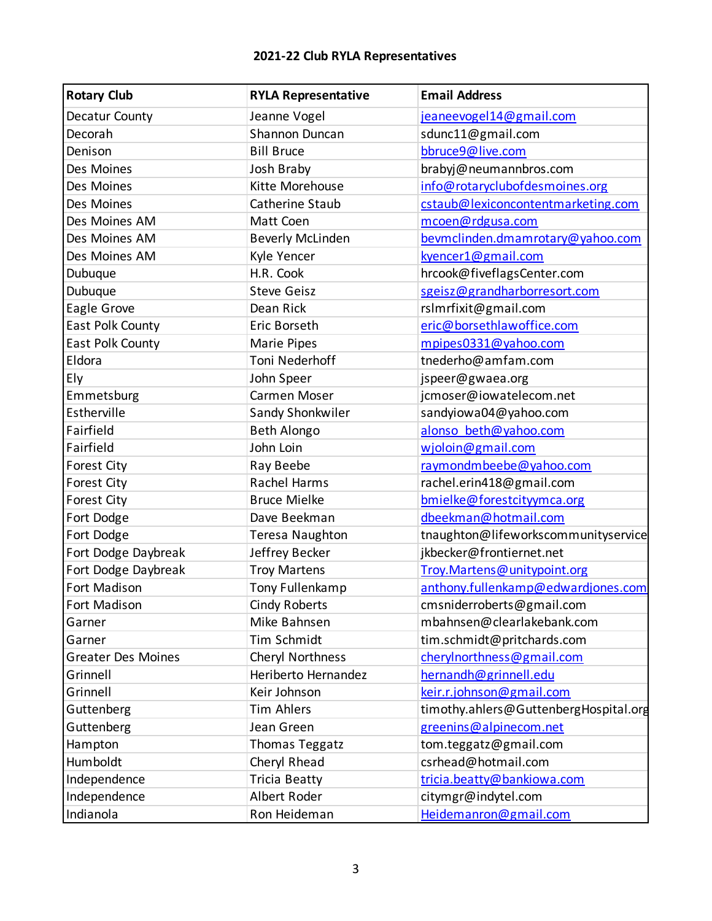| <b>Rotary Club</b>        | <b>RYLA Representative</b> | <b>Email Address</b>                  |
|---------------------------|----------------------------|---------------------------------------|
| Decatur County            | Jeanne Vogel               | jeaneevogel14@gmail.com               |
| Decorah                   | Shannon Duncan             | sdunc11@gmail.com                     |
| Denison                   | <b>Bill Bruce</b>          | bbruce9@live.com                      |
| Des Moines                | Josh Braby                 | brabyj@neumannbros.com                |
| Des Moines                | Kitte Morehouse            | info@rotaryclubofdesmoines.org        |
| Des Moines                | Catherine Staub            | cstaub@lexiconcontentmarketing.com    |
| Des Moines AM             | Matt Coen                  | mcoen@rdgusa.com                      |
| Des Moines AM             | <b>Beverly McLinden</b>    | bevmclinden.dmamrotary@yahoo.com      |
| Des Moines AM             | Kyle Yencer                | kyencer1@gmail.com                    |
| Dubuque                   | H.R. Cook                  | hrcook@fiveflagsCenter.com            |
| Dubuque                   | <b>Steve Geisz</b>         | sgeisz@grandharborresort.com          |
| Eagle Grove               | Dean Rick                  | rsImrfixit@gmail.com                  |
| East Polk County          | Eric Borseth               | eric@borsethlawoffice.com             |
| East Polk County          | Marie Pipes                | mpipes0331@yahoo.com                  |
| Eldora                    | Toni Nederhoff             | tnederho@amfam.com                    |
| Ely                       | John Speer                 | jspeer@gwaea.org                      |
| Emmetsburg                | Carmen Moser               | jcmoser@iowatelecom.net               |
| Estherville               | Sandy Shonkwiler           | sandyiowa04@yahoo.com                 |
| Fairfield                 | <b>Beth Alongo</b>         | alonso beth@yahoo.com                 |
| Fairfield                 | John Loin                  | wjoloin@gmail.com                     |
| <b>Forest City</b>        | Ray Beebe                  | raymondmbeebe@yahoo.com               |
| <b>Forest City</b>        | Rachel Harms               | rachel.erin418@gmail.com              |
| <b>Forest City</b>        | <b>Bruce Mielke</b>        | bmielke@forestcityymca.org            |
| Fort Dodge                | Dave Beekman               | dbeekman@hotmail.com                  |
| Fort Dodge                | Teresa Naughton            | tnaughton@lifeworkscommunityservice   |
| Fort Dodge Daybreak       | Jeffrey Becker             | jkbecker@frontiernet.net              |
| Fort Dodge Daybreak       | <b>Troy Martens</b>        | Troy. Martens@unitypoint.org          |
| Fort Madison              | Tony Fullenkamp            | anthony.fullenkamp@edwardjones.com    |
| Fort Madison              | <b>Cindy Roberts</b>       | cmsniderroberts@gmail.com             |
| Garner                    | Mike Bahnsen               | mbahnsen@clearlakebank.com            |
| Garner                    | Tim Schmidt                | tim.schmidt@pritchards.com            |
| <b>Greater Des Moines</b> | Cheryl Northness           | cherylnorthness@gmail.com             |
| Grinnell                  | Heriberto Hernandez        | hernandh@grinnell.edu                 |
| Grinnell                  | Keir Johnson               | keir.r.johnson@gmail.com              |
| Guttenberg                | <b>Tim Ahlers</b>          | timothy.ahlers@GuttenbergHospital.org |
| Guttenberg                | Jean Green                 | greenins@alpinecom.net                |
| Hampton                   | Thomas Teggatz             | tom.teggatz@gmail.com                 |
| Humboldt                  | Cheryl Rhead               | csrhead@hotmail.com                   |
| Independence              | <b>Tricia Beatty</b>       | tricia.beatty@bankiowa.com            |
| Independence              | Albert Roder               | citymgr@indytel.com                   |
| Indianola                 | Ron Heideman               | Heidemanron@gmail.com                 |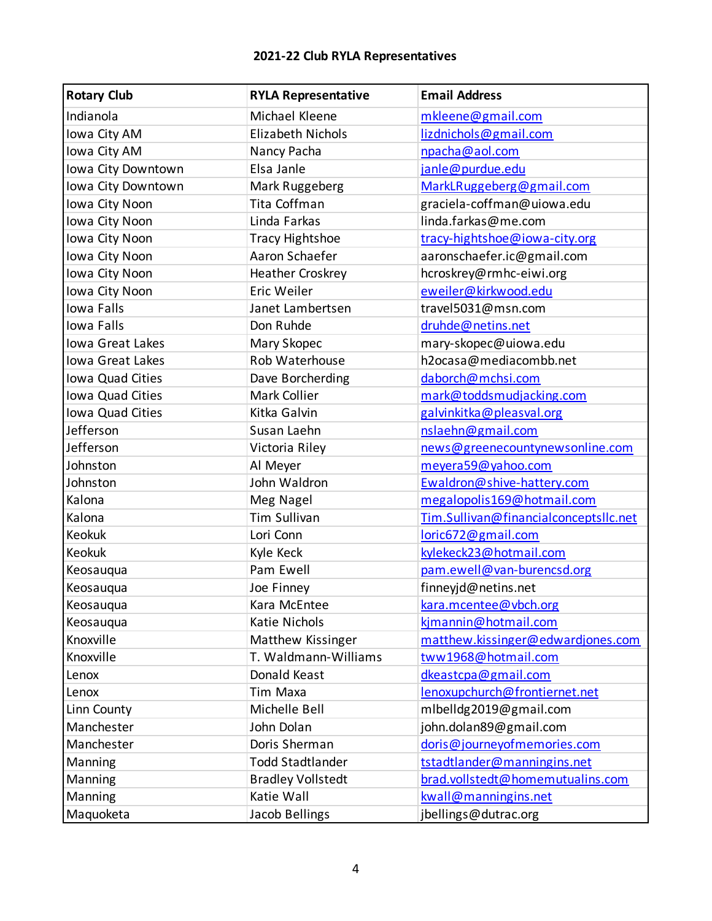| <b>Rotary Club</b>      | <b>RYLA Representative</b> | <b>Email Address</b>                  |
|-------------------------|----------------------------|---------------------------------------|
| Indianola               | Michael Kleene             | mkleene@gmail.com                     |
| Iowa City AM            | <b>Elizabeth Nichols</b>   | lizdnichols@gmail.com                 |
| Iowa City AM            | Nancy Pacha                | npacha@aol.com                        |
| Iowa City Downtown      | Elsa Janle                 | janle@purdue.edu                      |
| Iowa City Downtown      | Mark Ruggeberg             | MarkLRuggeberg@gmail.com              |
| Iowa City Noon          | Tita Coffman               | graciela-coffman@uiowa.edu            |
| Iowa City Noon          | Linda Farkas               | linda.farkas@me.com                   |
| Iowa City Noon          | <b>Tracy Hightshoe</b>     | tracy-hightshoe@iowa-city.org         |
| Iowa City Noon          | Aaron Schaefer             | aaronschaefer.ic@gmail.com            |
| Iowa City Noon          | <b>Heather Croskrey</b>    | hcroskrey@rmhc-eiwi.org               |
| Iowa City Noon          | Eric Weiler                | eweiler@kirkwood.edu                  |
| Iowa Falls              | Janet Lambertsen           | travel5031@msn.com                    |
| <b>Iowa Falls</b>       | Don Ruhde                  | druhde@netins.net                     |
| Iowa Great Lakes        | Mary Skopec                | mary-skopec@uiowa.edu                 |
| <b>Iowa Great Lakes</b> | Rob Waterhouse             | h2ocasa@mediacombb.net                |
| Iowa Quad Cities        | Dave Borcherding           | daborch@mchsi.com                     |
| Iowa Quad Cities        | Mark Collier               | mark@toddsmudjacking.com              |
| Iowa Quad Cities        | Kitka Galvin               | galvinkitka@pleasval.org              |
| Jefferson               | Susan Laehn                | nslaehn@gmail.com                     |
| Jefferson               | Victoria Riley             | news@greenecountynewsonline.com       |
| Johnston                | Al Meyer                   | meyera59@yahoo.com                    |
| Johnston                | John Waldron               | Ewaldron@shive-hattery.com            |
| Kalona                  | Meg Nagel                  | megalopolis169@hotmail.com            |
| Kalona                  | <b>Tim Sullivan</b>        | Tim.Sullivan@financialconceptsllc.net |
| Keokuk                  | Lori Conn                  | loric672@gmail.com                    |
| Keokuk                  | Kyle Keck                  | kylekeck23@hotmail.com                |
| Keosauqua               | Pam Ewell                  | pam.ewell@van-burencsd.org            |
| Keosauqua               | Joe Finney                 | finneyjd@netins.net                   |
| Keosauqua               | Kara McEntee               | kara.mcentee@vbch.org                 |
| Keosauqua               | Katie Nichols              | kjmannin@hotmail.com                  |
| Knoxville               | Matthew Kissinger          | matthew.kissinger@edwardjones.com     |
| Knoxville               | T. Waldmann-Williams       | tww1968@hotmail.com                   |
| Lenox                   | Donald Keast               | dkeastcpa@gmail.com                   |
| Lenox                   | <b>Tim Maxa</b>            | lenoxupchurch@frontiernet.net         |
| Linn County             | Michelle Bell              | mlbelldg2019@gmail.com                |
| Manchester              | John Dolan                 | john.dolan89@gmail.com                |
| Manchester              | Doris Sherman              | doris@journeyofmemories.com           |
| Manning                 | <b>Todd Stadtlander</b>    | tstadtlander@manningins.net           |
| Manning                 | <b>Bradley Vollstedt</b>   | brad.vollstedt@homemutualins.com      |
| Manning                 | Katie Wall                 | kwall@manningins.net                  |
| Maquoketa               | Jacob Bellings             | jbellings@dutrac.org                  |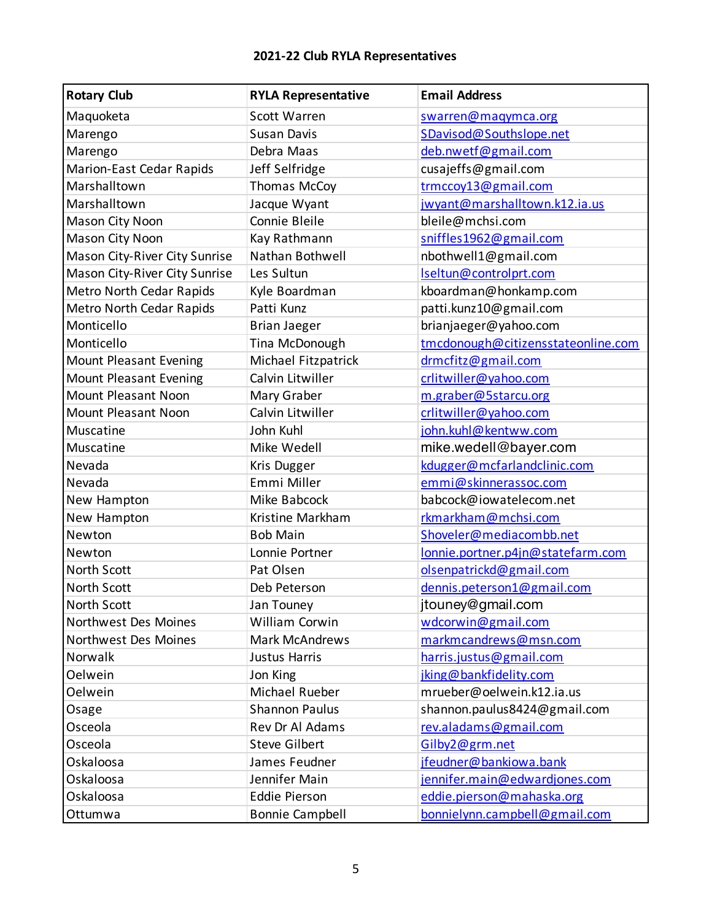| <b>Rotary Club</b>            | <b>RYLA Representative</b> | <b>Email Address</b>               |
|-------------------------------|----------------------------|------------------------------------|
| Maquoketa                     | Scott Warren               | swarren@magymca.org                |
| Marengo                       | <b>Susan Davis</b>         | SDavisod@Southslope.net            |
| Marengo                       | Debra Maas                 | deb.nwetf@gmail.com                |
| Marion-East Cedar Rapids      | Jeff Selfridge             | cusajeffs@gmail.com                |
| Marshalltown                  | Thomas McCoy               | trmccoy13@gmail.com                |
| Marshalltown                  | Jacque Wyant               | jwyant@marshalltown.k12.ia.us      |
| Mason City Noon               | Connie Bleile              | bleile@mchsi.com                   |
| Mason City Noon               | Kay Rathmann               | sniffles1962@gmail.com             |
| Mason City-River City Sunrise | Nathan Bothwell            | nbothwell1@gmail.com               |
| Mason City-River City Sunrise | Les Sultun                 | Iseltun@controlprt.com             |
| Metro North Cedar Rapids      | Kyle Boardman              | kboardman@honkamp.com              |
| Metro North Cedar Rapids      | Patti Kunz                 | patti.kunz10@gmail.com             |
| Monticello                    | <b>Brian Jaeger</b>        | brianjaeger@yahoo.com              |
| Monticello                    | Tina McDonough             | tmcdonough@citizensstateonline.com |
| <b>Mount Pleasant Evening</b> | Michael Fitzpatrick        | drmcfitz@gmail.com                 |
| <b>Mount Pleasant Evening</b> | Calvin Litwiller           | crlitwiller@yahoo.com              |
| Mount Pleasant Noon           | Mary Graber                | m.graber@5starcu.org               |
| Mount Pleasant Noon           | Calvin Litwiller           | crlitwiller@yahoo.com              |
| Muscatine                     | John Kuhl                  | john.kuhl@kentww.com               |
| Muscatine                     | Mike Wedell                | mike.wedell@bayer.com              |
| Nevada                        | Kris Dugger                | kdugger@mcfarlandclinic.com        |
| Nevada                        | Emmi Miller                | emmi@skinnerassoc.com              |
| New Hampton                   | Mike Babcock               | babcock@iowatelecom.net            |
| New Hampton                   | Kristine Markham           | rkmarkham@mchsi.com                |
| Newton                        | <b>Bob Main</b>            | Shoveler@mediacombb.net            |
| Newton                        | Lonnie Portner             | lonnie.portner.p4jn@statefarm.com  |
| North Scott                   | Pat Olsen                  | olsenpatrickd@gmail.com            |
| North Scott                   | Deb Peterson               | dennis.peterson1@gmail.com         |
| North Scott                   | Jan Touney                 | jtouney@gmail.com                  |
| Northwest Des Moines          | William Corwin             | wdcorwin@gmail.com                 |
| Northwest Des Moines          | <b>Mark McAndrews</b>      | markmcandrews@msn.com              |
| Norwalk                       | <b>Justus Harris</b>       | harris.justus@gmail.com            |
| Oelwein                       | Jon King                   | jking@bankfidelity.com             |
| Oelwein                       | Michael Rueber             | mrueber@oelwein.k12.ia.us          |
| Osage                         | <b>Shannon Paulus</b>      | shannon.paulus8424@gmail.com       |
| Osceola                       | Rev Dr Al Adams            | rev.aladams@gmail.com              |
| Osceola                       | <b>Steve Gilbert</b>       | Gilby2@grm.net                     |
| Oskaloosa                     | James Feudner              | jfeudner@bankiowa.bank             |
| Oskaloosa                     | Jennifer Main              | jennifer.main@edwardjones.com      |
| Oskaloosa                     | <b>Eddie Pierson</b>       | eddie.pierson@mahaska.org          |
| Ottumwa                       | <b>Bonnie Campbell</b>     | bonnielynn.campbell@gmail.com      |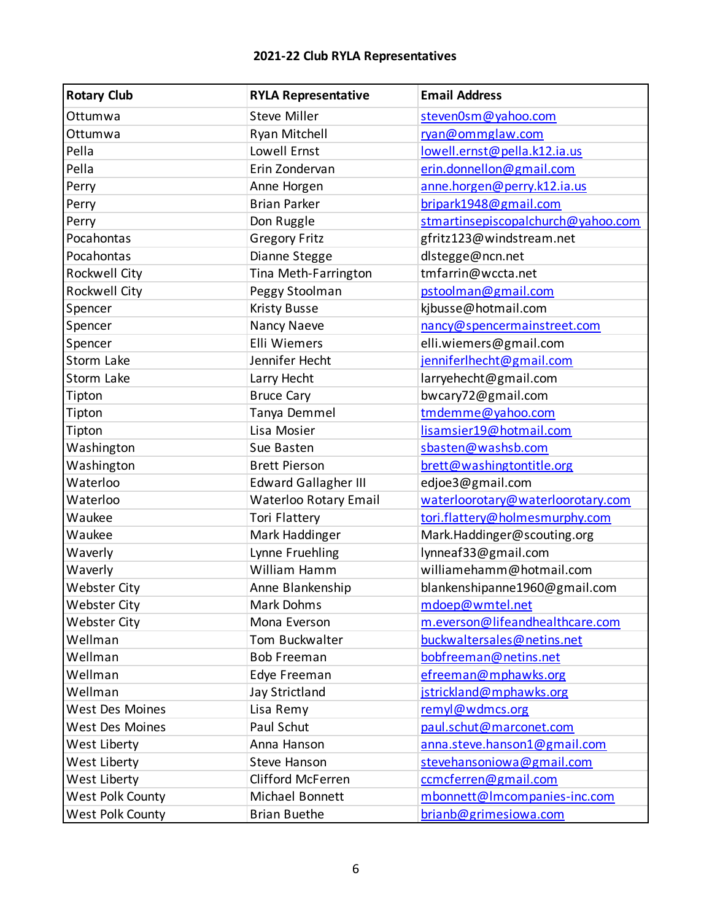| <b>Rotary Club</b>     | <b>RYLA Representative</b>  | <b>Email Address</b>               |
|------------------------|-----------------------------|------------------------------------|
| Ottumwa                | <b>Steve Miller</b>         | steven0sm@yahoo.com                |
| Ottumwa                | Ryan Mitchell               | ryan@ommglaw.com                   |
| Pella                  | Lowell Ernst                | lowell.ernst@pella.k12.ia.us       |
| Pella                  | Erin Zondervan              | erin.donnellon@gmail.com           |
| Perry                  | Anne Horgen                 | anne.horgen@perry.k12.ia.us        |
| Perry                  | <b>Brian Parker</b>         | bripark1948@gmail.com              |
| Perry                  | Don Ruggle                  | stmartinsepiscopalchurch@yahoo.com |
| Pocahontas             | <b>Gregory Fritz</b>        | gfritz123@windstream.net           |
| Pocahontas             | Dianne Stegge               | dlstegge@ncn.net                   |
| Rockwell City          | Tina Meth-Farrington        | tmfarrin@wccta.net                 |
| Rockwell City          | Peggy Stoolman              | pstoolman@gmail.com                |
| Spencer                | <b>Kristy Busse</b>         | kjbusse@hotmail.com                |
| Spencer                | Nancy Naeve                 | nancy@spencermainstreet.com        |
| Spencer                | <b>Elli Wiemers</b>         | elli.wiemers@gmail.com             |
| Storm Lake             | Jennifer Hecht              | jenniferlhecht@gmail.com           |
| Storm Lake             | Larry Hecht                 | larryehecht@gmail.com              |
| Tipton                 | <b>Bruce Cary</b>           | bwcary72@gmail.com                 |
| Tipton                 | Tanya Demmel                | tmdemme@yahoo.com                  |
| Tipton                 | Lisa Mosier                 | lisamsier19@hotmail.com            |
| Washington             | Sue Basten                  | sbasten@washsb.com                 |
| Washington             | <b>Brett Pierson</b>        | brett@washingtontitle.org          |
| Waterloo               | <b>Edward Gallagher III</b> | edjoe3@gmail.com                   |
| Waterloo               | Waterloo Rotary Email       | waterloorotary@waterloorotary.com  |
| Waukee                 | <b>Tori Flattery</b>        | tori.flattery@holmesmurphy.com     |
| Waukee                 | Mark Haddinger              | Mark.Haddinger@scouting.org        |
| Waverly                | Lynne Fruehling             | lynneaf33@gmail.com                |
| Waverly                | William Hamm                | williamehamm@hotmail.com           |
| <b>Webster City</b>    | Anne Blankenship            | blankenshipanne1960@gmail.com      |
| Webster City           | Mark Dohms                  | mdoep@wmtel.net                    |
| <b>Webster City</b>    | Mona Everson                | m.everson@lifeandhealthcare.com    |
| Wellman                | Tom Buckwalter              | buckwaltersales@netins.net         |
| Wellman                | <b>Bob Freeman</b>          | bobfreeman@netins.net              |
| Wellman                | Edye Freeman                | efreeman@mphawks.org               |
| Wellman                | Jay Strictland              | jstrickland@mphawks.org            |
| <b>West Des Moines</b> | Lisa Remy                   | remyl@wdmcs.org                    |
| <b>West Des Moines</b> | Paul Schut                  | paul.schut@marconet.com            |
| West Liberty           | Anna Hanson                 | anna.steve.hanson1@gmail.com       |
| West Liberty           | <b>Steve Hanson</b>         | stevehansoniowa@gmail.com          |
| West Liberty           | Clifford McFerren           | ccmcferren@gmail.com               |
| West Polk County       | Michael Bonnett             | mbonnett@Imcompanies-inc.com       |
| West Polk County       | <b>Brian Buethe</b>         | brianb@grimesiowa.com              |